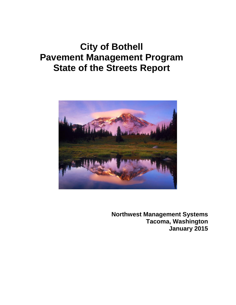# **City of Bothell Pavement Management Program State of the Streets Report**



**Northwest Management Systems Tacoma, Washington January 2015**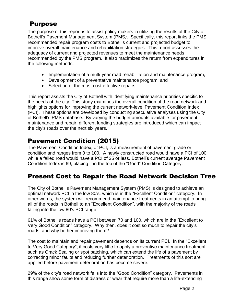#### Purpose

The purpose of this report is to assist policy makers in utilizing the results of the City of Bothell's Pavement Management System (PMS*)*. Specifically, this report links the PMS recommended repair program costs to Bothell's current and projected budget to improve overall maintenance and rehabilitation strategies. This report assesses the adequacy of current and projected revenues to meet the maintenance needs recommended by the PMS program. It also maximizes the return from expenditures in the following methods:

- Implementation of a multi-year road rehabilitation and maintenance program,
- Development of a preventative maintenance program; and
- Selection of the most cost effective repairs.

This report assists the City of Bothell with identifying maintenance priorities specific to the needs of the city. This study examines the overall condition of the road network and highlights options for improving the current network-level Pavement Condition Index (PCI). These options are developed by conducting speculative analyses using the City of Bothell's PMS database. By varying the budget amounts available for pavement maintenance and repair, different funding strategies are introduced which can impact the city's roads over the next six years.

### Pavement Condition (2015)

The Pavement Condition Index, or PCI, is a measurement of pavement grade or condition and ranges from 0 to 100. A newly constructed road would have a PCI of 100, while a failed road would have a PCI of 25 or less. Bothell's current average Pavement Condition Index is 69, placing it in the top of the "Good" Condition Category.

### Present Cost to Repair the Road Network Decision Tree

The City of Bothell's Pavement Management System (PMS) is designed to achieve an optimal network PCI in the low 80's, which is in the "Excellent Condition" category. In other words, the system will recommend maintenance treatments in an attempt to bring all of the roads in Bothell to an "Excellent Condition", with the majority of the roads falling into the low 80's PCI range.

61% of Bothell's roads have a PCI between 70 and 100, which are in the "Excellent to Very Good Condition" category. Why then, does it cost so much to repair the city's roads, and why bother improving them?

The cost to maintain and repair pavement depends on its current PCI. In the "Excellent to Very Good Category", it costs very little to apply a preventive maintenance treatment such as Crack Sealing or spot patching, which can extend the life of a pavement by correcting minor faults and reducing further deterioration. Treatments of this sort are applied before pavement deterioration has become severe.

29% of the city's road network falls into the "Good Condition" category. Pavements in this range show some form of distress or wear that require more than a life-extending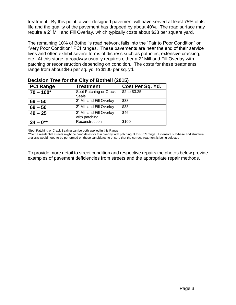treatment. By this point, a well-designed pavement will have served at least 75% of its life and the quality of the pavement has dropped by about 40%. The road surface may require a 2" Mill and Fill Overlay, which typically costs about \$38 per square yard.

The remaining 10% of Bothell's road network falls into the "Fair to Poor Condition" or "Very Poor Condition" PCI ranges. These pavements are near the end of their service lives and often exhibit severe forms of distress such as potholes, extensive cracking, etc. At this stage, a roadway usually requires either a 2" Mill and Fill Overlay with patching or reconstruction depending on condition. The costs for these treatments range from about \$46 per sq. yd. to \$100 per sq. yd.

| <b>Decision lited for the Oily Of Bothen (2019)</b> |                                           |                       |  |  |  |
|-----------------------------------------------------|-------------------------------------------|-----------------------|--|--|--|
| <b>PCI Range</b>                                    | <b>Treatment</b>                          | Cost Per Sq. Yd.      |  |  |  |
| $70 - 100^*$                                        | Spot Patching or Crack<br>Seals           | $\sqrt{$2}$ to \$3.25 |  |  |  |
| $69 - 50$                                           | 2" Mill and Fill Overlay                  | \$38                  |  |  |  |
| $69 - 50$                                           | 2" Mill and Fill Overlay                  | \$38                  |  |  |  |
| $49 - 25$                                           | 2" Mill and Fill Overlay<br>with patching | \$46                  |  |  |  |
| $124 - 0^{**}$                                      | Reconstruction                            | \$100                 |  |  |  |

#### **Decision Tree for the City of Bothell (2015)**

\*Spot Patching or Crack Sealing can be both applied in this Range.

.

\*\*Some residential streets might be candidates for thin overlay with patching at this PCI range. Extensive sub-base and structural analysis would need to be performed on these candidates to ensure that the correct treatment is being selected

To provide more detail to street condition and respective repairs the photos below provide examples of pavement deficiencies from streets and the appropriate repair methods.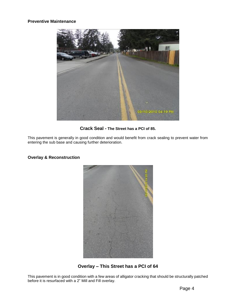

#### **Crack Seal - The Street has a PCI of 85.**

This pavement is generally in good condition and would benefit from crack sealing to prevent water from entering the sub base and causing further deterioration.



#### **Overlay & Reconstruction**

**Overlay – This Street has a PCI of 64**

This pavement is in good condition with a few areas of alligator cracking that should be structurally patched before it is resurfaced with a 2" Mill and Fill overlay.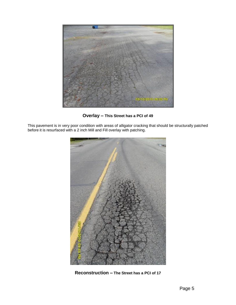

**Overlay – This Street has a PCI of 49**

This pavement is in very poor condition with areas of alligator cracking that should be structurally patched before it is resurfaced with a 2 inch Mill and Fill overlay with patching.



**Reconstruction – The Street has a PCI of 17**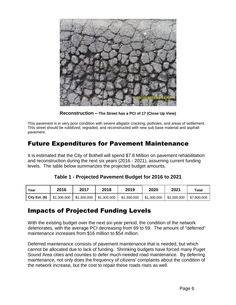

**Reconstruction – The Street has a PCI of 17 (Close Up View)**

This pavement is in very poor condition with severe alligator cracking, potholes, and areas of settlement. This street should be rubblized, regraded, and reconstructed with new sub base material and asphalt pavement.

### Future Expenditures for Pavement Maintenance

It is estimated that the City of Bothell will spend \$7.8 Million on pavement rehabilitation and reconstruction during the next six years (2016 - 2021), assuming current funding levels. The table below summarizes the projected budget amounts.

|  | Table 1 - Projected Pavement Budget for 2016 to 2021 |  |
|--|------------------------------------------------------|--|
|--|------------------------------------------------------|--|

| Year            | 2016        | 2017        | 2018        | 2019        | 2020        | 2021        | Totaı       |
|-----------------|-------------|-------------|-------------|-------------|-------------|-------------|-------------|
| City Est. $($)$ | \$1,300,000 | \$1,300,000 | \$1,300,000 | \$1,300,000 | \$1,300,000 | \$1,300,000 | \$7,800,000 |

### Impacts of Projected Funding Levels

With the existing budget over the next six-year period, the condition of the network deteriorates, with the average PCI decreasing from 69 to 59. The amount of "deferred" maintenance increases from \$16 million to \$54 million.

Deferred maintenance consists of pavement maintenance that is needed, but which cannot be allocated due to lack of funding. Shrinking budgets have forced many Puget Sound Area cities and counties to defer much-needed road maintenance. By deferring maintenance, not only does the frequency of citizens' complaints about the condition of the network increase, but the cost to repair these roads rises as well.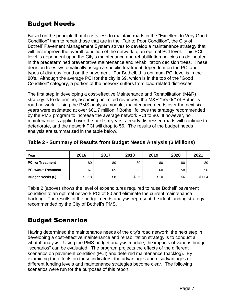### Budget Needs

Based on the principle that it costs less to maintain roads in the "Excellent to Very Good Condition" than to repair those that are in the "Fair to Poor Condition", the City of Bothell' Pavement Management System strives to develop a maintenance strategy that will first improve the overall condition of the network to an optimal PCI level. This PCI level is dependent upon the City's maintenance and rehabilitation policies as delineated in the predetermined preventative maintenance and rehabilitation decision trees. These decision trees systematically assign a specific treatment dependent on the PCI and types of distress found on the pavement. For Bothell, this optimum PCI level is in the 80's. Although the average PCI for the city is 69, which is in the top of the "Good Condition" category, a portion of the network suffers from load-related distresses.

The first step in developing a cost-effective Maintenance and Rehabilitation (M&R) strategy is to determine, assuming unlimited revenues, the M&R "needs" of Bothell's road network. Using the PMS analysis module, maintenance needs over the next six years were estimated at over \$61.7 million if Bothell follows the strategy recommended by the PMS program to increase the average network PCI to 80. If however, no maintenance is applied over the next six years, already distressed roads will continue to deteriorate, and the network PCI will drop to 56. The results of the budget needs analysis are summarized in the table below.

| Year                       | 2016   | 2017 | 2018  | 2019 | 2020 | 2021   |
|----------------------------|--------|------|-------|------|------|--------|
| <b>PCI w/ Treatment</b>    | 80     | 80   | 80    | 80   | 80   | 80     |
| <b>PCI w/out Treatment</b> | 67     | 65   | 62    | 60   | 58   | 56     |
| <b>Budget Needs (\$)</b>   | \$17.8 | \$8  | \$8.5 | \$10 | \$6  | \$11.4 |

#### **Table 2 - Summary of Results from Budget Needs Analysis (\$ Millions)**

Table 2 (above) shows the level of expenditures required to raise Bothell' pavement condition to an optimal network PCI of 80 and eliminate the current maintenance backlog. The results of the budget needs analysis represent the ideal funding strategy recommended by the City of Bothell's PMS. .

## Budget Scenarios

Having determined the maintenance needs of the city's road network, the next step in developing a cost-effective maintenance and rehabilitation strategy is to conduct a what-if analysis. Using the PMS budget analysis module, the impacts of various budget "scenarios" can be evaluated. The program projects the effects of the different scenarios on pavement condition (PCI) and deferred maintenance (backlog). By examining the effects on these indicators, the advantages and disadvantages of different funding levels and maintenance strategies become clear. The following scenarios were run for the purposes of this report: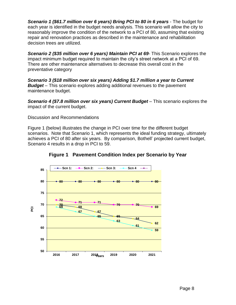*Scenario 1 (\$61.7 million over 6 years) Bring PCI to 80 in 6 years* - The budget for each year is identified in the budget needs analysis. This scenario will allow the city to reasonably improve the condition of the network to a PCI of 80, assuming that existing repair and renovation practices as described in the maintenance and rehabilitation decision trees are utilized.

*Scenario 2 (\$35 million over 6 years) Maintain PCI at 69*- This Scenario explores the impact minimum budget required to maintain the city's street network at a PCI of 69. There are other maintenance alternatives to decrease this overall cost in the preventative category

*Scenario 3 (\$18 million over six years) Adding \$1.7 million a year to Current Budget* – This scenario explores adding additional revenues to the pavement maintenance budget.

*Scenario 4 (\$7.8 million over six years) Current Budget* – This scenario explores the impact of the current budget.

Discussion and Recommendations

Figure 1 (below) illustrates the change in PCI over time for the different budget scenarios. Note that Scenario 1, which represents the ideal funding strategy, ultimately achieves a PCI of 80 after six years. By comparison, Bothell' projected current budget, Scenario 4 results in a drop in PCI to 59.



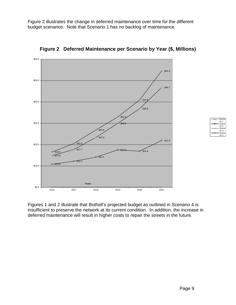Figure 2 illustrates the change in deferred maintenance over time for the different budget scenarios. Note that Scenario 1 has no backlog of maintenance.



**Figure 2 Deferred Maintenance per Scenario by Year (\$, Millions)**

Figures 1 and 2 illustrate that Bothell's projected budget as outlined in Scenario 4 is insufficient to preserve the network at its current condition. In addition, the increase in deferred maintenance will result in higher costs to repair the streets in the future.

Scer rio 1 Scena rio 2 **Scena** rio 3 Scer rio 4